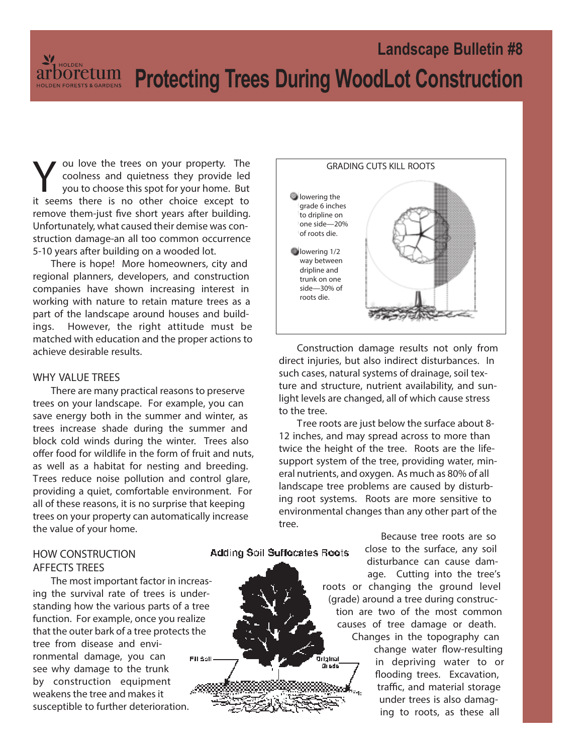V ou love the trees on your property. The coolness and quietness they provide led<br>you to choose this spot for your home. But<br>it seems there is no other choice except to ou love the trees on your property. The coolness and quietness they provide led you to choose this spot for your home. But remove them-just five short years after building. Unfortunately, what caused their demise was construction damage-an all too common occurrence 5-10 years after building on a wooded lot.

There is hope! More homeowners, city and regional planners, developers, and construction companies have shown increasing interest in working with nature to retain mature trees as a part of the landscape around houses and buildings. However, the right attitude must be matched with education and the proper actions to achieve desirable results.

#### **WHY VALUE TREES**

There are many practical reasons to preserve trees on your landscape. For example, you can save energy both in the summer and winter, as trees increase shade during the summer and block cold winds during the winter. Trees also offer food for wildlife in the form of fruit and nuts, as well as a habitat for nesting and breeding. Trees reduce noise pollution and control glare, providing a quiet, comfortable environment. For all of these reasons, it is no surprise that keeping trees on your property can automatically increase the value of your home.

#### **HOW CONSTRUCTION AFFECTS TREES**

The most important factor in increasing the survival rate of trees is understanding how the various parts of a tree function. For example, once you realize that the outer bark of a tree protects the tree from disease and environmental damage, you can Fill Soll see why damage to the trunk by construction equipment weakens the tree and makes it susceptible to further deterioration.

# **GRADING CUTS KILL ROOTS b**lowering the **grade 6 inches to dripline on one side—20% of roots die. lowering 1/2 way between dripline and trunk on one side—30% of roots die.**

Construction damage results not only from direct injuries, but also indirect disturbances. In such cases, natural systems of drainage, soil texture and structure, nutrient availability, and sunlight levels are changed, all of which cause stress to the tree.

Tree roots are just below the surface about 8- 12 inches, and may spread across to more than twice the height of the tree. Roots are the lifesupport system of the tree, providing water, mineral nutrients, and oxygen. As much as 80% of all landscape tree problems are caused by disturbing root systems. Roots are more sensitive to environmental changes than any other part of the tree.

> Isnici Gi ada

Because tree roots are so close to the surface, any soil Adding Soil Suffocates Roots disturbance can cause damage. Cutting into the tree's roots or changing the ground level (grade) around a tree during construction are two of the most common causes of tree damage or death.

> Changes in the topography can change water flow-resulting in depriving water to or flooding trees. Excavation, traffic, and material storage under trees is also damaging to roots, as these all